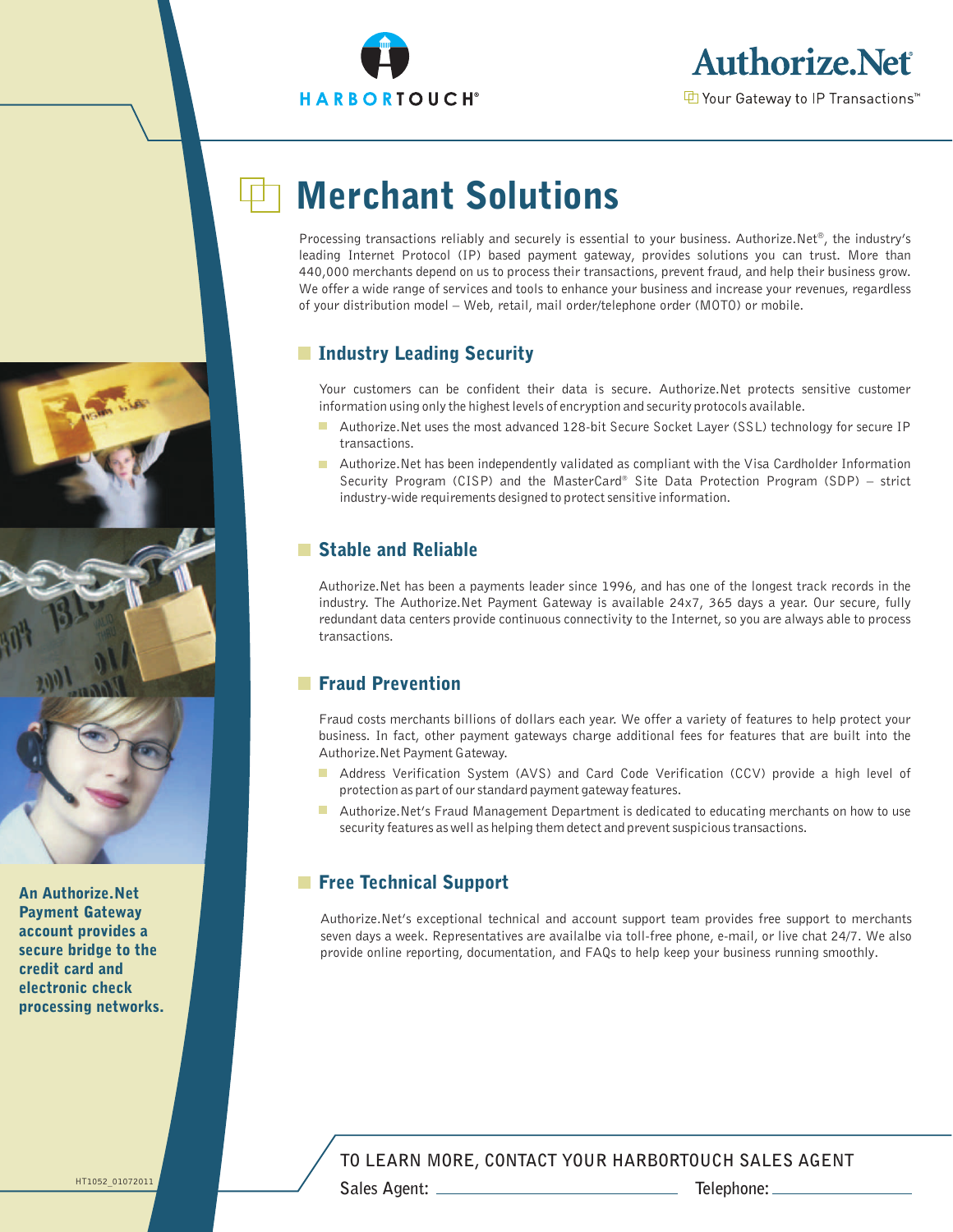



# Merchant Solutions

Processing transactions reliably and securely is essential to your business. Authorize.Net®, the industry's leading Internet Protocol (IP) based payment gateway, provides solutions you can trust. More than 440,000 merchants depend on us to process their transactions, prevent fraud, and help their business grow. We offer a wide range of services and tools to enhance your business and increase your revenues, regardless of your distribution model – Web, retail, mail order/telephone order (MOTO) or mobile.

# **■ Industry Leading Security**

Your customers can be confident their data is secure. Authorize.Net protects sensitive customer information using only the highest levels of encryption and security protocols available.

- Authorize.Net uses the most advanced 128-bit Secure Socket Layer (SSL) technology for secure IP transactions.
- Authorize.Net has been independently validated as compliant with the Visa Cardholder Information Security Program (CISP) and the MasterCard<sup>®</sup> Site Data Protection Program (SDP) strict industry-wide requirements designed to protect sensitive information.

# Stable and Reliable

Authorize.Net has been a payments leader since 1996, and has one of the longest track records in the industry. The Authorize.Net Payment Gateway is available 24x7, 365 days a year. Our secure, fully redundant data centers provide continuous connectivity to the Internet, so you are always able to process transactions.

# **Fraud Prevention**

Fraud costs merchants billions of dollars each year. We offer a variety of features to help protect your business. In fact, other payment gateways charge additional fees for features that are built into the Authorize.Net Payment Gateway.

- Address Verification System (AVS) and Card Code Verification (CCV) provide a high level of protection as part of our standard payment gateway features.
- **Authorize.Net's Fraud Management Department is dedicated to educating merchants on how to use** security features as well as helping them detect and prevent suspicious transactions.

# **Free Technical Support**

Authorize.Net's exceptional technical and account support team provides free support to merchants seven days a week. Representatives are availalbe via toll-free phone, e-mail, or live chat 24/7. We also provide online reporting, documentation, and FAQs to help keep your business running smoothly.

## **TO LEARN MORE, CONTACT YOUR HARBORTOUCH SALES AGENT**



An Authorize.Net Payment Gateway account provides a secure bridge to the credit card and electronic check processing networks.

HT1052\_01072011

**Sales Agent: Telephone:**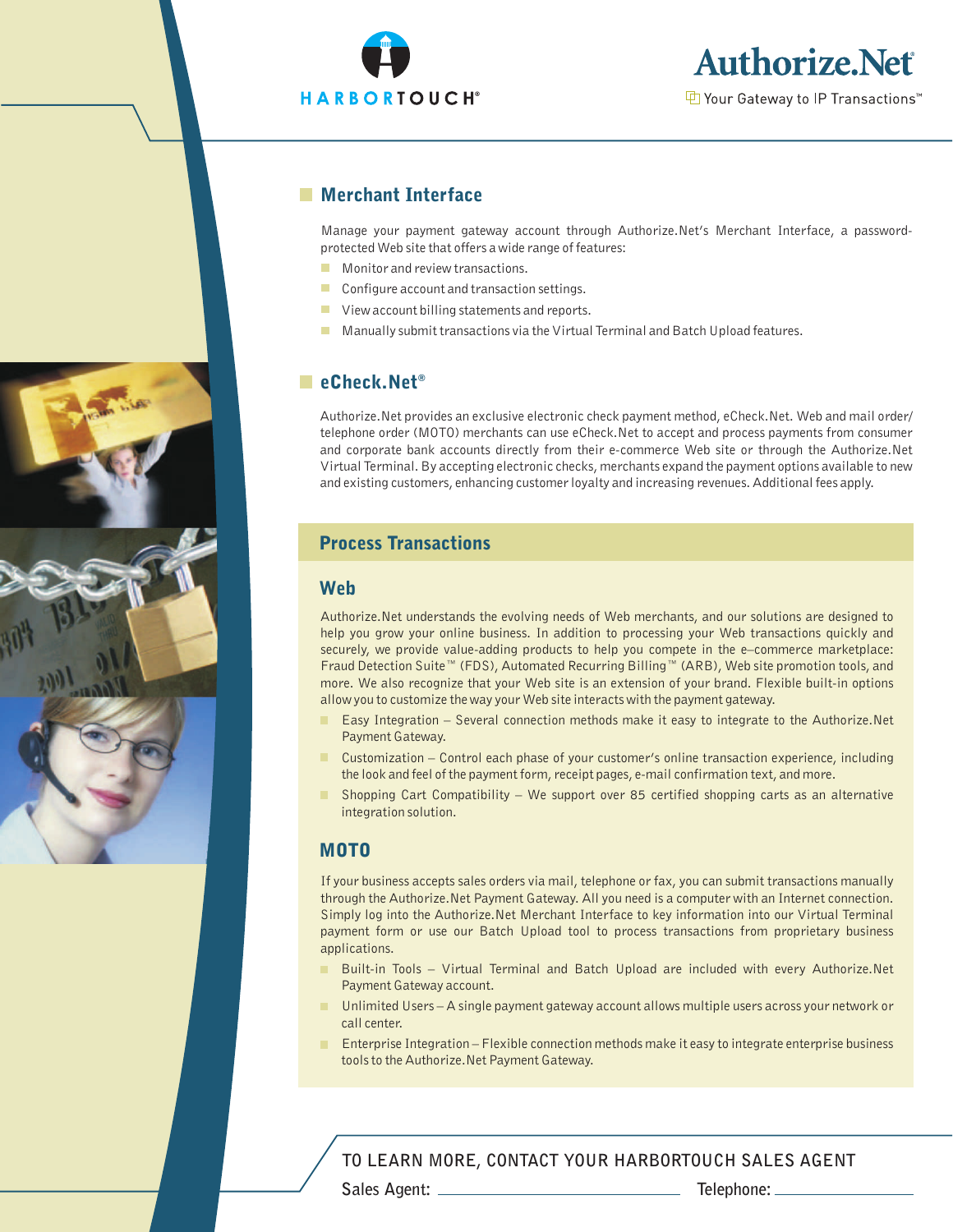



**D** Your Gateway to IP Transactions<sup>™</sup>

## **Merchant Interface**

Manage your payment gateway account through Authorize.Net's Merchant Interface, a passwordprotected Web site that offers a wide range of features:

- **Monitor and review transactions.**
- $\mathcal{L}_{\rm{max}}$ Configure account and transaction settings.
- **U** View account billing statements and reports.
- **Manually submit transactions via the Virtual Terminal and Batch Upload features.**

## ■ eCheck.Net<sup>®</sup>

Authorize.Net provides an exclusive electronic check payment method, eCheck.Net. Web and mail order/ telephone order (MOTO) merchants can use eCheck.Net to accept and process payments from consumer and corporate bank accounts directly from their e-commerce Web site or through the Authorize.Net Virtual Terminal. By accepting electronic checks, merchants expand the payment options available to new and existing customers, enhancing customer loyalty and increasing revenues. Additional fees apply.

# Process Transactions

#### Web

Authorize.Net understands the evolving needs of Web merchants, and our solutions are designed to help you grow your online business. In addition to processing your Web transactions quickly and securely, we provide value-adding products to help you compete in the e-commerce marketplace: Fraud Detection Suite™ (FDS), Automated Recurring Billing™ (ARB), Web site promotion tools, and more. We also recognize that your Web site is an extension of your brand. Flexible built-in options allow you to customize the way your Web site interacts with the payment gateway.

- Easy Integration Several connection methods make it easy to integrate to the Authorize.Net Payment Gateway.
- . Customization – Control each phase of your customer's online transaction experience, including the look and feel of the payment form, receipt pages, e-mail confirmation text, and more.
- Shopping Cart Compatibility We support over 85 certified shopping carts as an alternative integration solution.

### MOTO

If your business accepts sales orders via mail, telephone or fax, you can submit transactions manually through the Authorize.Net Payment Gateway. All you need is a computer with an Internet connection. Simply log into the Authorize.Net Merchant Interface to key information into our Virtual Terminal payment form or use our Batch Upload tool to process transactions from proprietary business applications.

- Built-in Tools Virtual Terminal and Batch Upload are included with every Authorize.Net Payment Gateway account.
- Unlimited Users A single payment gateway account allows multiple users across your network or call center.
- **Enterprise Integration Flexible connection methods make it easy to integrate enterprise business** tools to the Authorize.Net Payment Gateway.

**Sales Agent: Telephone: TO LEARN MORE, CONTACT YOUR HARBORTOUCH SALES AGENT**

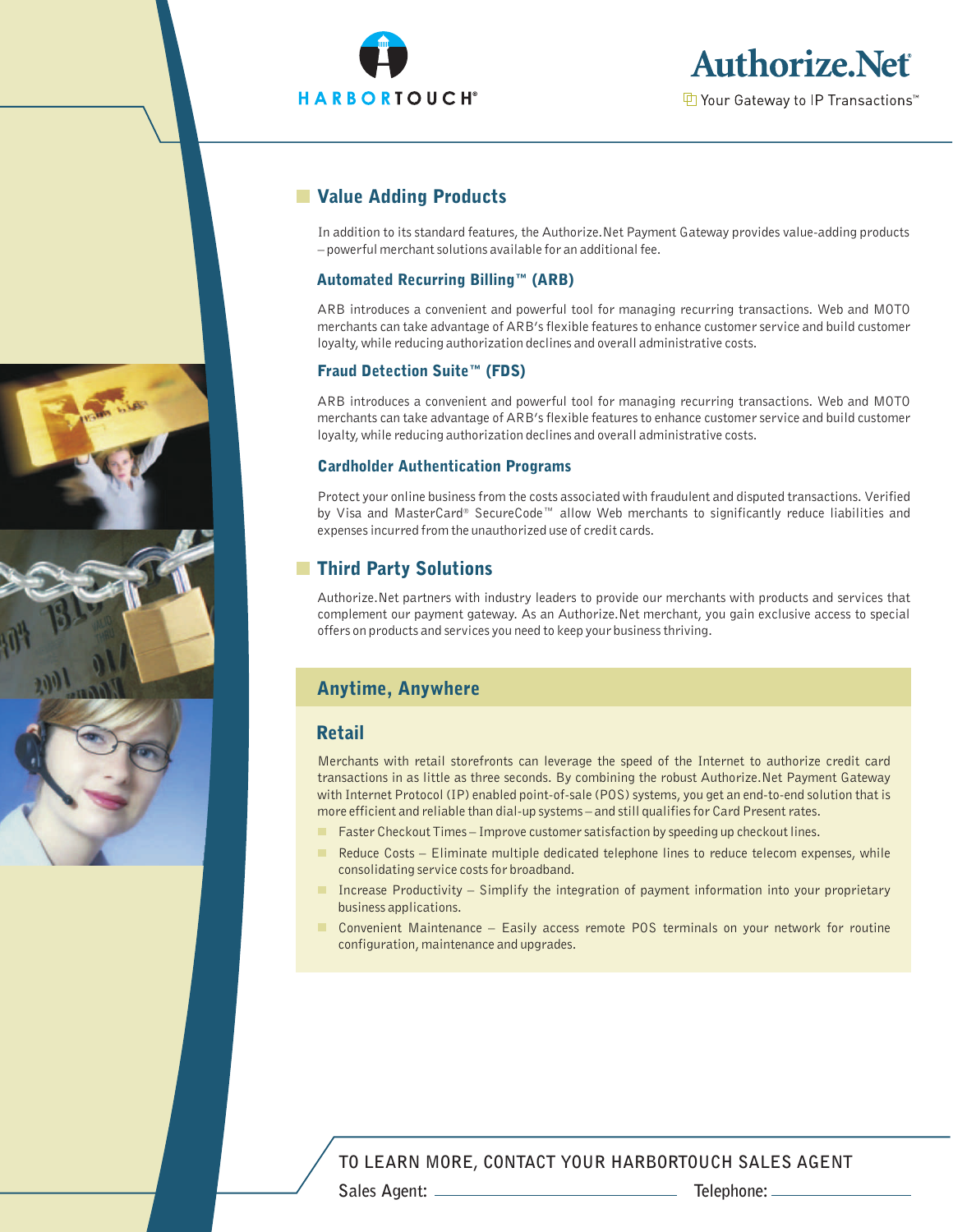



# **No. 25 Value Adding Products**

In addition to its standard features, the Authorize.Net Payment Gateway provides value-adding products – powerful merchant solutions available for an additional fee.

#### Automated Recurring Billing™ (ARB)

ARB introduces a convenient and powerful tool for managing recurring transactions. Web and MOTO merchants can take advantage of ARB's flexible features to enhance customer service and build customer loyalty, while reducing authorization declines and overall administrative costs.

### Fraud Detection Suite™ (FDS)

ARB introduces a convenient and powerful tool for managing recurring transactions. Web and MOTO merchants can take advantage of ARB's flexible features to enhance customer service and build customer loyalty, while reducing authorization declines and overall administrative costs.

#### Cardholder Authentication Programs

Protect your online business from the costs associated with fraudulent and disputed transactions. Verified by Visa and MasterCard® SecureCode™ allow Web merchants to significantly reduce liabilities and expenses incurred from the unauthorized use of credit cards.

# **Third Party Solutions**

Authorize.Net partners with industry leaders to provide our merchants with products and services that complement our payment gateway. As an Authorize.Net merchant, you gain exclusive access to special offers on products and services you need to keep your business thriving.

## Anytime, Anywhere

## Retail

Merchants with retail storefronts can leverage the speed of the Internet to authorize credit card transactions in as little as three seconds. By combining the robust Authorize.Net Payment Gateway with Internet Protocol (IP) enabled point-of-sale (POS) systems, you get an end-to-end solution that is more efficient and reliable than dial-up systems – and still qualifies for Card Present rates.

- Faster Checkout Times Improve customer satisfaction by speeding up checkout lines. .
- $\blacksquare$ Reduce Costs – Eliminate multiple dedicated telephone lines to reduce telecom expenses, while consolidating service costs for broadband.
- Increase Productivity Simplify the integration of payment information into your proprietary business applications.
- Convenient Maintenance Easily access remote POS terminals on your network for routine configuration, maintenance and upgrades.

## **TO LEARN MORE, CONTACT YOUR HARBORTOUCH SALES AGENT**

**Sales Agent: Telephone:**